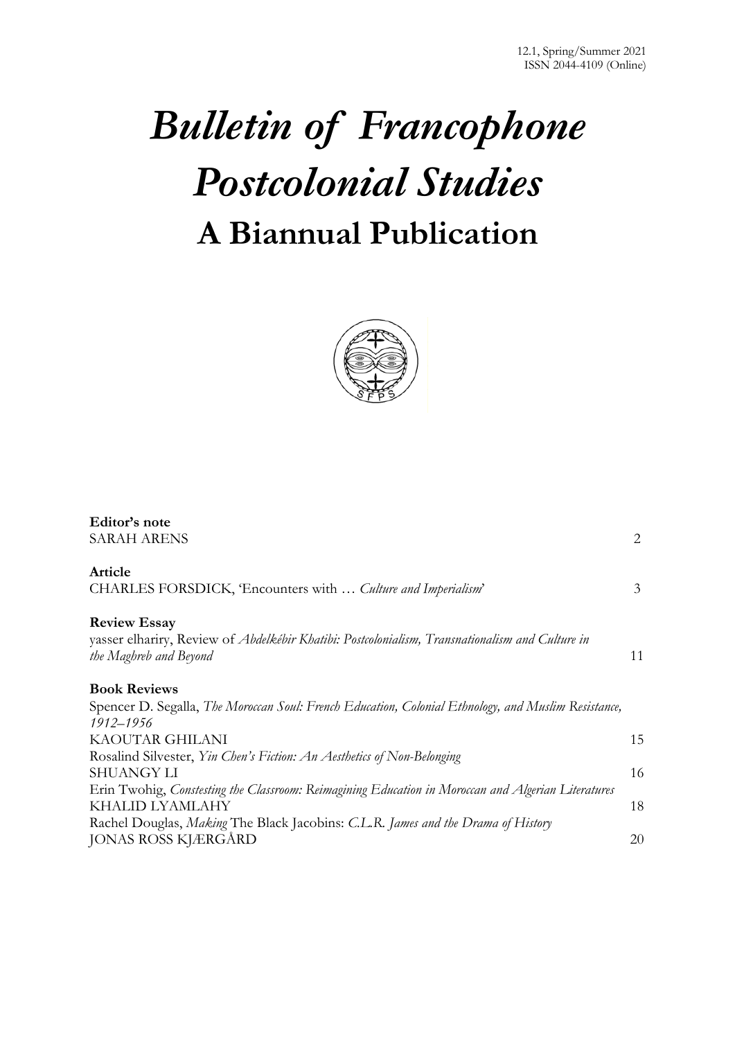# *Bulletin of Francophone Postcolonial Studies* **A Biannual Publication**



| Editor's note                                                                                                             |    |
|---------------------------------------------------------------------------------------------------------------------------|----|
| <b>SARAH ARENS</b>                                                                                                        | 2  |
| Article                                                                                                                   |    |
| CHARLES FORSDICK, 'Encounters with  Culture and Imperialism'                                                              | 3  |
| <b>Review Essay</b>                                                                                                       |    |
| yasser elhariry, Review of Abdelkébir Khatibi: Postcolonialism, Transnationalism and Culture in<br>the Maghreb and Beyond | 11 |
| <b>Book Reviews</b>                                                                                                       |    |
| Spencer D. Segalla, The Moroccan Soul: French Education, Colonial Ethnology, and Muslim Resistance,<br>1912-1956          |    |
| KAOUTAR GHILANI                                                                                                           | 15 |
| Rosalind Silvester, Yin Chen's Fiction: An Aesthetics of Non-Belonging                                                    |    |
| <b>SHUANGY LI</b>                                                                                                         | 16 |
| Erin Twohig, Constesting the Classroom: Reimagining Education in Moroccan and Algerian Literatures                        |    |
| KHALID LYAMLAHY                                                                                                           | 18 |
| Rachel Douglas, Making The Black Jacobins: C.L.R. James and the Drama of History                                          |    |
| <b>JONAS ROSS KJÆRGÅRD</b>                                                                                                | 20 |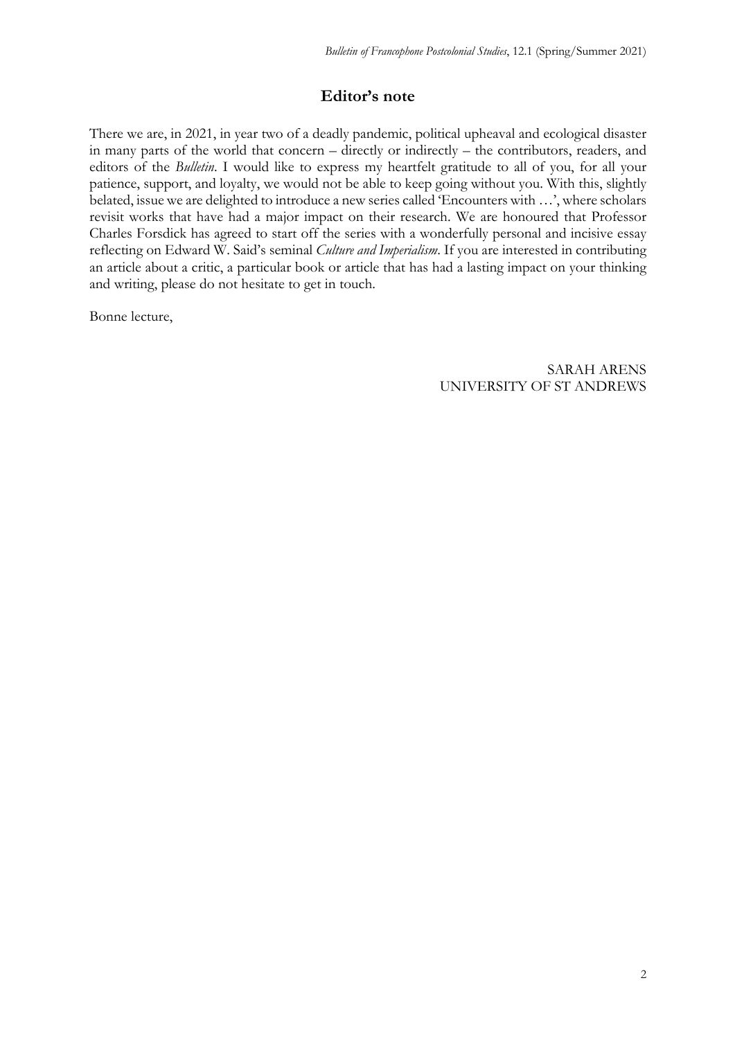# **Editor's note**

There we are, in 2021, in year two of a deadly pandemic, political upheaval and ecological disaster in many parts of the world that concern – directly or indirectly – the contributors, readers, and editors of the *Bulletin*. I would like to express my heartfelt gratitude to all of you, for all your patience, support, and loyalty, we would not be able to keep going without you. With this, slightly belated, issue we are delighted to introduce a new series called 'Encounters with …', where scholars revisit works that have had a major impact on their research. We are honoured that Professor Charles Forsdick has agreed to start off the series with a wonderfully personal and incisive essay reflecting on Edward W. Said's seminal *Culture and Imperialism*. If you are interested in contributing an article about a critic, a particular book or article that has had a lasting impact on your thinking and writing, please do not hesitate to get in touch.

Bonne lecture,

SARAH ARENS UNIVERSITY OF ST ANDREWS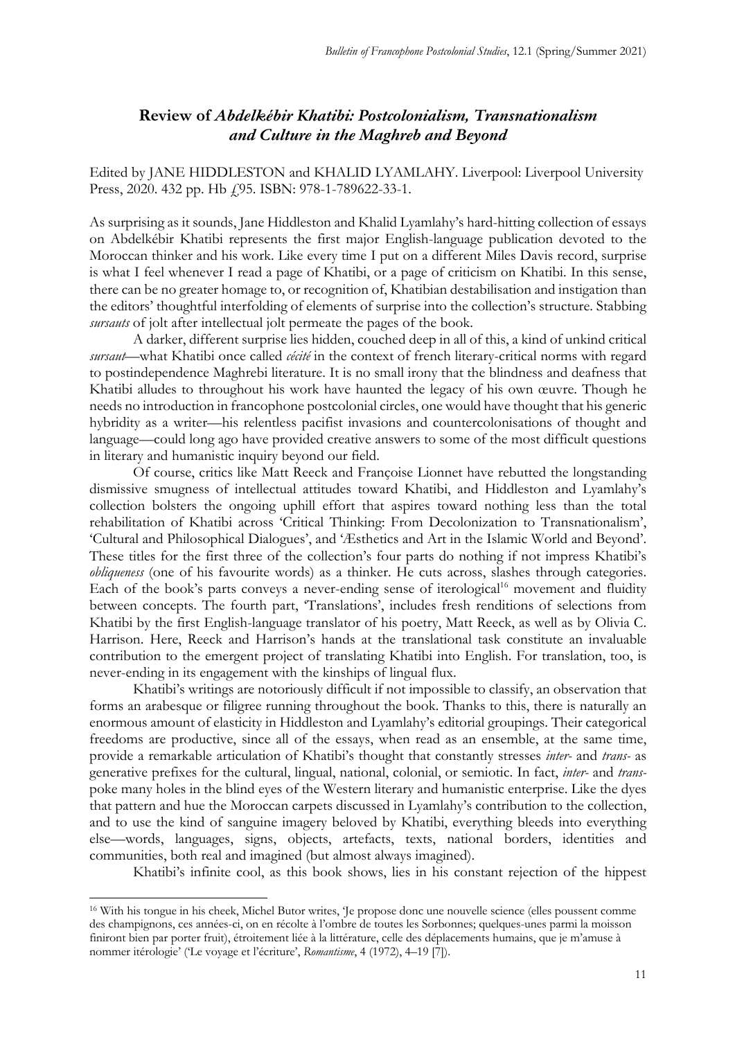# **Review of** *Abdelkébir Khatibi: Postcolonialism, Transnationalism and Culture in the Maghreb and Beyond*

Edited by JANE HIDDLESTON and KHALID LYAMLAHY. Liverpool: Liverpool University Press, 2020. 432 pp. Hb (95. ISBN: 978-1-789622-33-1.

As surprising as it sounds, Jane Hiddleston and Khalid Lyamlahy's hard-hitting collection of essays on Abdelkébir Khatibi represents the first major English-language publication devoted to the Moroccan thinker and his work. Like every time I put on a different Miles Davis record, surprise is what I feel whenever I read a page of Khatibi, or a page of criticism on Khatibi. In this sense, there can be no greater homage to, or recognition of, Khatibian destabilisation and instigation than the editors' thoughtful interfolding of elements of surprise into the collection's structure. Stabbing *sursauts* of jolt after intellectual jolt permeate the pages of the book.

A darker, different surprise lies hidden, couched deep in all of this, a kind of unkind critical *sursaut*—what Khatibi once called *cécité* in the context of french literary-critical norms with regard to postindependence Maghrebi literature. It is no small irony that the blindness and deafness that Khatibi alludes to throughout his work have haunted the legacy of his own œuvre. Though he needs no introduction in francophone postcolonial circles, one would have thought that his generic hybridity as a writer—his relentless pacifist invasions and countercolonisations of thought and language—could long ago have provided creative answers to some of the most difficult questions in literary and humanistic inquiry beyond our field.

Of course, critics like Matt Reeck and Françoise Lionnet have rebutted the longstanding dismissive smugness of intellectual attitudes toward Khatibi, and Hiddleston and Lyamlahy's collection bolsters the ongoing uphill effort that aspires toward nothing less than the total rehabilitation of Khatibi across 'Critical Thinking: From Decolonization to Transnationalism', 'Cultural and Philosophical Dialogues', and 'Æsthetics and Art in the Islamic World and Beyond'. These titles for the first three of the collection's four parts do nothing if not impress Khatibi's *obliqueness* (one of his favourite words) as a thinker. He cuts across, slashes through categories. Each of the book's parts conveys a never-ending sense of iterological<sup>16</sup> movement and fluidity between concepts. The fourth part, 'Translations', includes fresh renditions of selections from Khatibi by the first English-language translator of his poetry, Matt Reeck, as well as by Olivia C. Harrison. Here, Reeck and Harrison's hands at the translational task constitute an invaluable contribution to the emergent project of translating Khatibi into English. For translation, too, is never-ending in its engagement with the kinships of lingual flux.

Khatibi's writings are notoriously difficult if not impossible to classify, an observation that forms an arabesque or filigree running throughout the book. Thanks to this, there is naturally an enormous amount of elasticity in Hiddleston and Lyamlahy's editorial groupings. Their categorical freedoms are productive, since all of the essays, when read as an ensemble, at the same time, provide a remarkable articulation of Khatibi's thought that constantly stresses *inter-* and *trans-* as generative prefixes for the cultural, lingual, national, colonial, or semiotic. In fact, *inter-* and *trans*poke many holes in the blind eyes of the Western literary and humanistic enterprise. Like the dyes that pattern and hue the Moroccan carpets discussed in Lyamlahy's contribution to the collection, and to use the kind of sanguine imagery beloved by Khatibi, everything bleeds into everything else—words, languages, signs, objects, artefacts, texts, national borders, identities and communities, both real and imagined (but almost always imagined).

Khatibi's infinite cool, as this book shows, lies in his constant rejection of the hippest

<sup>16</sup> With his tongue in his cheek, Michel Butor writes, 'Je propose donc une nouvelle science (elles poussent comme des champignons, ces années-ci, on en récolte à l'ombre de toutes les Sorbonnes; quelques-unes parmi la moisson finiront bien par porter fruit), étroitement liée à la littérature, celle des déplacements humains, que je m'amuse à nommer itérologie' ('Le voyage et l'écriture', *Romantisme*, 4 (1972), 4–19 [7]).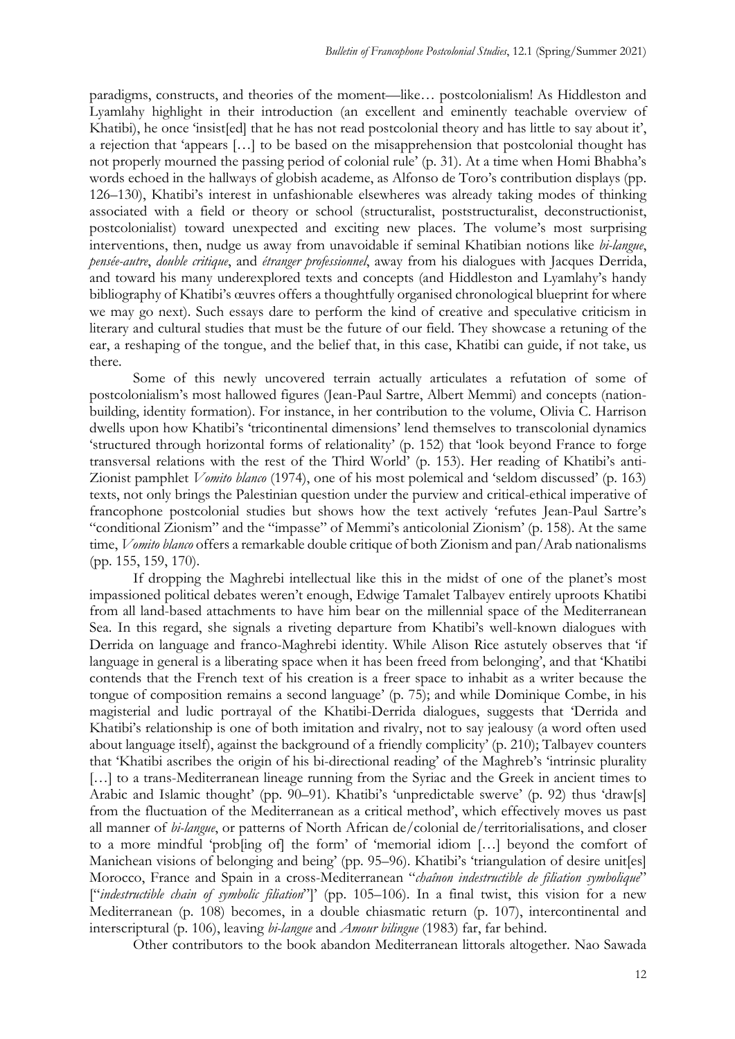paradigms, constructs, and theories of the moment—like… postcolonialism! As Hiddleston and Lyamlahy highlight in their introduction (an excellent and eminently teachable overview of Khatibi), he once 'insist[ed] that he has not read postcolonial theory and has little to say about it', a rejection that 'appears [...] to be based on the misapprehension that postcolonial thought has not properly mourned the passing period of colonial rule' (p. 31). At a time when Homi Bhabha's words echoed in the hallways of globish academe, as Alfonso de Toro's contribution displays (pp. 126–130), Khatibi's interest in unfashionable elsewheres was already taking modes of thinking associated with a field or theory or school (structuralist, poststructuralist, deconstructionist, postcolonialist) toward unexpected and exciting new places. The volume's most surprising interventions, then, nudge us away from unavoidable if seminal Khatibian notions like *bi-langue*, *pensée-autre*, *double critique*, and *étranger professionnel*, away from his dialogues with Jacques Derrida, and toward his many underexplored texts and concepts (and Hiddleston and Lyamlahy's handy bibliography of Khatibi's œuvres offers a thoughtfully organised chronological blueprint for where we may go next). Such essays dare to perform the kind of creative and speculative criticism in literary and cultural studies that must be the future of our field. They showcase a retuning of the ear, a reshaping of the tongue, and the belief that, in this case, Khatibi can guide, if not take, us there.

Some of this newly uncovered terrain actually articulates a refutation of some of postcolonialism's most hallowed figures (Jean-Paul Sartre, Albert Memmi) and concepts (nationbuilding, identity formation). For instance, in her contribution to the volume, Olivia C. Harrison dwells upon how Khatibi's 'tricontinental dimensions' lend themselves to transcolonial dynamics 'structured through horizontal forms of relationality' (p. 152) that 'look beyond France to forge transversal relations with the rest of the Third World' (p. 153). Her reading of Khatibi's anti-Zionist pamphlet *Vomito blanco* (1974), one of his most polemical and 'seldom discussed' (p. 163) texts, not only brings the Palestinian question under the purview and critical-ethical imperative of francophone postcolonial studies but shows how the text actively 'refutes Jean-Paul Sartre's "conditional Zionism" and the "impasse" of Memmi's anticolonial Zionism' (p. 158). At the same time, *Vomito blanco* offers a remarkable double critique of both Zionism and pan/Arab nationalisms (pp. 155, 159, 170).

If dropping the Maghrebi intellectual like this in the midst of one of the planet's most impassioned political debates weren't enough, Edwige Tamalet Talbayev entirely uproots Khatibi from all land-based attachments to have him bear on the millennial space of the Mediterranean Sea. In this regard, she signals a riveting departure from Khatibi's well-known dialogues with Derrida on language and franco-Maghrebi identity. While Alison Rice astutely observes that 'if language in general is a liberating space when it has been freed from belonging', and that 'Khatibi contends that the French text of his creation is a freer space to inhabit as a writer because the tongue of composition remains a second language' (p. 75); and while Dominique Combe, in his magisterial and ludic portrayal of the Khatibi-Derrida dialogues, suggests that 'Derrida and Khatibi's relationship is one of both imitation and rivalry, not to say jealousy (a word often used about language itself), against the background of a friendly complicity' (p. 210); Talbayev counters that 'Khatibi ascribes the origin of his bi-directional reading' of the Maghreb's 'intrinsic plurality [...] to a trans-Mediterranean lineage running from the Syriac and the Greek in ancient times to Arabic and Islamic thought' (pp. 90–91). Khatibi's 'unpredictable swerve' (p. 92) thus 'draw[s] from the fluctuation of the Mediterranean as a critical method', which effectively moves us past all manner of *bi-langue*, or patterns of North African de/colonial de/territorialisations, and closer to a more mindful 'prob[ing of] the form' of 'memorial idiom […] beyond the comfort of Manichean visions of belonging and being' (pp. 95–96). Khatibi's 'triangulation of desire unit[es] Morocco, France and Spain in a cross-Mediterranean "*chaînon indestructible de filiation symbolique*" ["*indestructible chain of symbolic filiation*"]' (pp. 105–106). In a final twist, this vision for a new Mediterranean (p. 108) becomes, in a double chiasmatic return (p. 107), intercontinental and interscriptural (p. 106), leaving *bi-langue* and *Amour bilingue* (1983) far, far behind.

Other contributors to the book abandon Mediterranean littorals altogether. Nao Sawada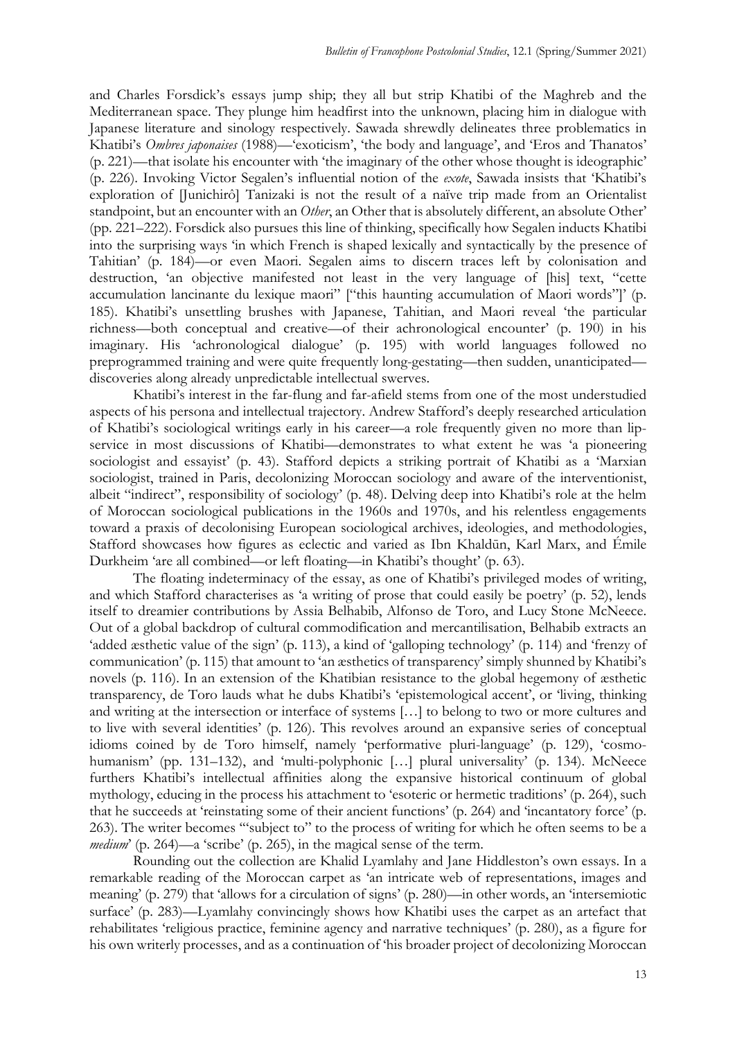and Charles Forsdick's essays jump ship; they all but strip Khatibi of the Maghreb and the Mediterranean space. They plunge him headfirst into the unknown, placing him in dialogue with Japanese literature and sinology respectively. Sawada shrewdly delineates three problematics in Khatibi's *Ombres japonaises* (1988)—'exoticism', 'the body and language', and 'Eros and Thanatos' (p. 221)—that isolate his encounter with 'the imaginary of the other whose thought is ideographic' (p. 226). Invoking Victor Segalen's influential notion of the *exote*, Sawada insists that 'Khatibi's exploration of [Junichirô] Tanizaki is not the result of a naïve trip made from an Orientalist standpoint, but an encounter with an *Other*, an Other that is absolutely different, an absolute Other' (pp. 221–222). Forsdick also pursues this line of thinking, specifically how Segalen inducts Khatibi into the surprising ways 'in which French is shaped lexically and syntactically by the presence of Tahitian' (p. 184)—or even Maori. Segalen aims to discern traces left by colonisation and destruction, 'an objective manifested not least in the very language of [his] text, "cette accumulation lancinante du lexique maori" ["this haunting accumulation of Maori words"]' (p. 185). Khatibi's unsettling brushes with Japanese, Tahitian, and Maori reveal 'the particular richness—both conceptual and creative—of their achronological encounter' (p. 190) in his imaginary. His 'achronological dialogue' (p. 195) with world languages followed no preprogrammed training and were quite frequently long-gestating—then sudden, unanticipated discoveries along already unpredictable intellectual swerves.

Khatibi's interest in the far-flung and far-afield stems from one of the most understudied aspects of his persona and intellectual trajectory. Andrew Stafford's deeply researched articulation of Khatibi's sociological writings early in his career—a role frequently given no more than lipservice in most discussions of Khatibi—demonstrates to what extent he was 'a pioneering sociologist and essayist' (p. 43). Stafford depicts a striking portrait of Khatibi as a 'Marxian sociologist, trained in Paris, decolonizing Moroccan sociology and aware of the interventionist, albeit "indirect", responsibility of sociology' (p. 48). Delving deep into Khatibi's role at the helm of Moroccan sociological publications in the 1960s and 1970s, and his relentless engagements toward a praxis of decolonising European sociological archives, ideologies, and methodologies, Stafford showcases how figures as eclectic and varied as Ibn Khaldūn, Karl Marx, and Émile Durkheim 'are all combined—or left floating—in Khatibi's thought' (p. 63).

The floating indeterminacy of the essay, as one of Khatibi's privileged modes of writing, and which Stafford characterises as 'a writing of prose that could easily be poetry' (p. 52), lends itself to dreamier contributions by Assia Belhabib, Alfonso de Toro, and Lucy Stone McNeece. Out of a global backdrop of cultural commodification and mercantilisation, Belhabib extracts an 'added æsthetic value of the sign' (p. 113), a kind of 'galloping technology' (p. 114) and 'frenzy of communication' (p. 115) that amount to 'an æsthetics of transparency' simply shunned by Khatibi's novels (p. 116). In an extension of the Khatibian resistance to the global hegemony of æsthetic transparency, de Toro lauds what he dubs Khatibi's 'epistemological accent', or 'living, thinking and writing at the intersection or interface of systems […] to belong to two or more cultures and to live with several identities' (p. 126). This revolves around an expansive series of conceptual idioms coined by de Toro himself, namely 'performative pluri-language' (p. 129), 'cosmohumanism' (pp. 131–132), and 'multi-polyphonic [...] plural universality' (p. 134). McNeece furthers Khatibi's intellectual affinities along the expansive historical continuum of global mythology, educing in the process his attachment to 'esoteric or hermetic traditions' (p. 264), such that he succeeds at 'reinstating some of their ancient functions' (p. 264) and 'incantatory force' (p. 263). The writer becomes '"subject to" to the process of writing for which he often seems to be a *medium*' (p. 264)—a 'scribe' (p. 265), in the magical sense of the term.

Rounding out the collection are Khalid Lyamlahy and Jane Hiddleston's own essays. In a remarkable reading of the Moroccan carpet as 'an intricate web of representations, images and meaning' (p. 279) that 'allows for a circulation of signs' (p. 280)—in other words, an 'intersemiotic surface' (p. 283)—Lyamlahy convincingly shows how Khatibi uses the carpet as an artefact that rehabilitates 'religious practice, feminine agency and narrative techniques' (p. 280), as a figure for his own writerly processes, and as a continuation of 'his broader project of decolonizing Moroccan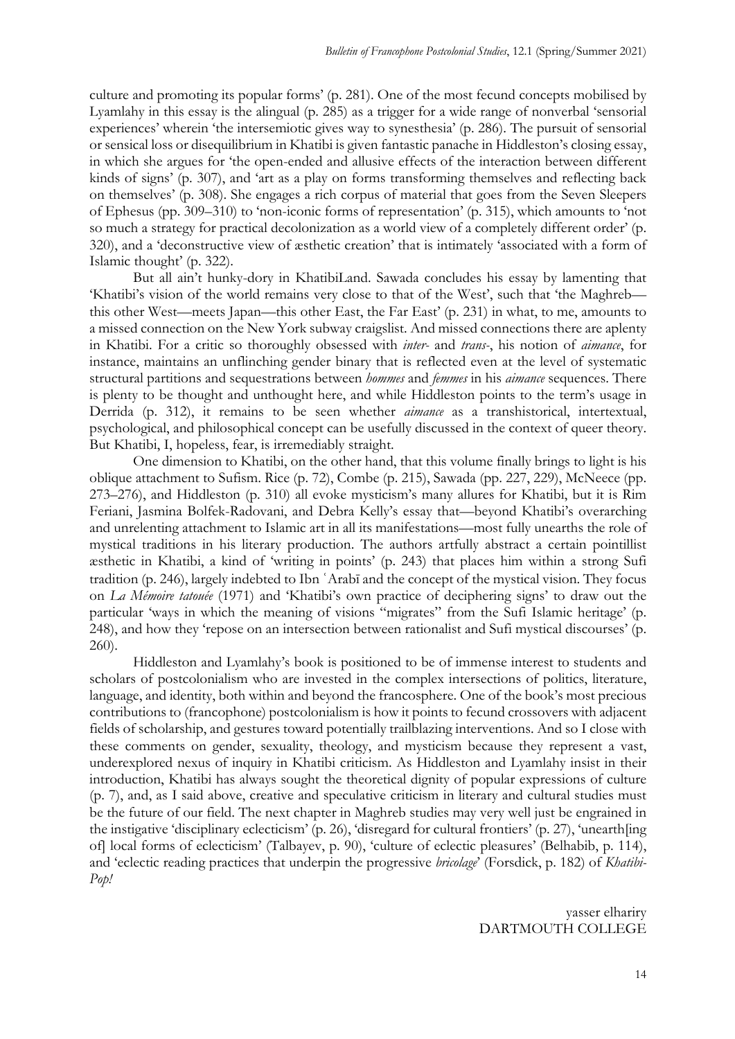culture and promoting its popular forms' (p. 281). One of the most fecund concepts mobilised by Lyamlahy in this essay is the alingual (p. 285) as a trigger for a wide range of nonverbal 'sensorial experiences' wherein 'the intersemiotic gives way to synesthesia' (p. 286). The pursuit of sensorial or sensical loss or disequilibrium in Khatibi is given fantastic panache in Hiddleston's closing essay, in which she argues for 'the open-ended and allusive effects of the interaction between different kinds of signs' (p. 307), and 'art as a play on forms transforming themselves and reflecting back on themselves' (p. 308). She engages a rich corpus of material that goes from the Seven Sleepers of Ephesus (pp. 309–310) to 'non-iconic forms of representation' (p. 315), which amounts to 'not so much a strategy for practical decolonization as a world view of a completely different order' (p. 320), and a 'deconstructive view of æsthetic creation' that is intimately 'associated with a form of Islamic thought' (p. 322).

But all ain't hunky-dory in KhatibiLand. Sawada concludes his essay by lamenting that 'Khatibi's vision of the world remains very close to that of the West', such that 'the Maghreb this other West—meets Japan—this other East, the Far East' (p. 231) in what, to me, amounts to a missed connection on the New York subway craigslist. And missed connections there are aplenty in Khatibi. For a critic so thoroughly obsessed with *inter-* and *trans-*, his notion of *aimance*, for instance, maintains an unflinching gender binary that is reflected even at the level of systematic structural partitions and sequestrations between *hommes* and *femmes* in his *aimance* sequences. There is plenty to be thought and unthought here, and while Hiddleston points to the term's usage in Derrida (p. 312), it remains to be seen whether *aimance* as a transhistorical, intertextual, psychological, and philosophical concept can be usefully discussed in the context of queer theory. But Khatibi, I, hopeless, fear, is irremediably straight.

One dimension to Khatibi, on the other hand, that this volume finally brings to light is his oblique attachment to Sufism. Rice (p. 72), Combe (p. 215), Sawada (pp. 227, 229), McNeece (pp. 273–276), and Hiddleston (p. 310) all evoke mysticism's many allures for Khatibi, but it is Rim Feriani, Jasmina Bolfek-Radovani, and Debra Kelly's essay that—beyond Khatibi's overarching and unrelenting attachment to Islamic art in all its manifestations—most fully unearths the role of mystical traditions in his literary production. The authors artfully abstract a certain pointillist æsthetic in Khatibi, a kind of 'writing in points' (p. 243) that places him within a strong Sufi tradition (p. 246), largely indebted to Ibn ʿArabī and the concept of the mystical vision. They focus on *La Mémoire tatouée* (1971) and 'Khatibi's own practice of deciphering signs' to draw out the particular 'ways in which the meaning of visions "migrates" from the Sufi Islamic heritage' (p. 248), and how they 'repose on an intersection between rationalist and Sufi mystical discourses' (p. 260).

Hiddleston and Lyamlahy's book is positioned to be of immense interest to students and scholars of postcolonialism who are invested in the complex intersections of politics, literature, language, and identity, both within and beyond the francosphere. One of the book's most precious contributions to (francophone) postcolonialism is how it points to fecund crossovers with adjacent fields of scholarship, and gestures toward potentially trailblazing interventions. And so I close with these comments on gender, sexuality, theology, and mysticism because they represent a vast, underexplored nexus of inquiry in Khatibi criticism. As Hiddleston and Lyamlahy insist in their introduction, Khatibi has always sought the theoretical dignity of popular expressions of culture (p. 7), and, as I said above, creative and speculative criticism in literary and cultural studies must be the future of our field. The next chapter in Maghreb studies may very well just be engrained in the instigative 'disciplinary eclecticism' (p. 26), 'disregard for cultural frontiers' (p. 27), 'unearth[ing of] local forms of eclecticism' (Talbayev, p. 90), 'culture of eclectic pleasures' (Belhabib, p. 114), and 'eclectic reading practices that underpin the progressive *bricolage*' (Forsdick, p. 182) of *Khatibi-Pop!*

> yasser elhariry DARTMOUTH COLLEGE